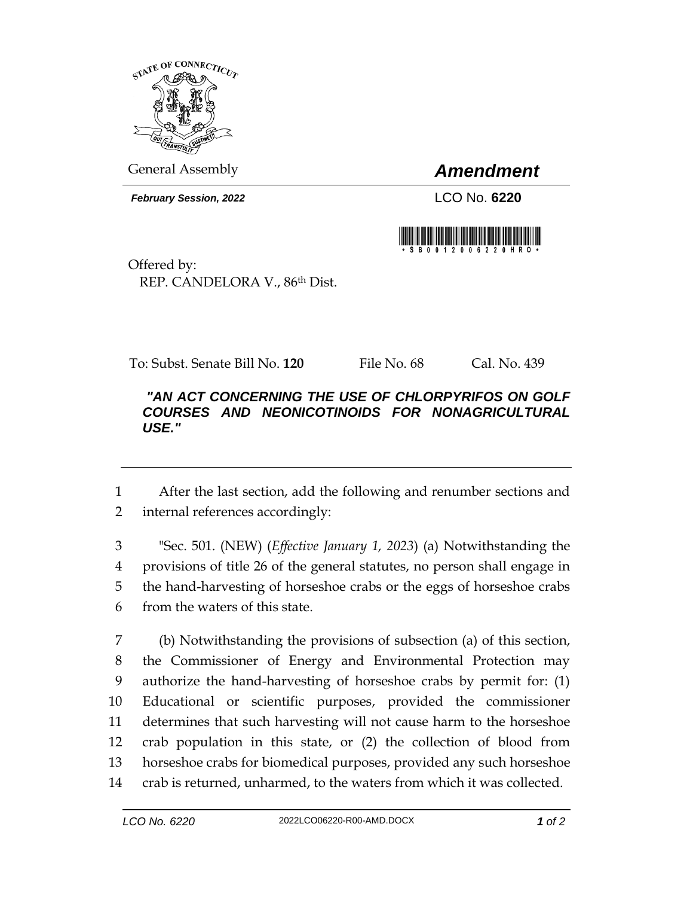

General Assembly *Amendment*

*February Session, 2022* LCO No. **6220**



Offered by: REP. CANDELORA V., 86th Dist.

To: Subst. Senate Bill No. **120** File No. 68 Cal. No. 439

## *"AN ACT CONCERNING THE USE OF CHLORPYRIFOS ON GOLF COURSES AND NEONICOTINOIDS FOR NONAGRICULTURAL USE."*

 After the last section, add the following and renumber sections and internal references accordingly:

 "Sec. 501. (NEW) (*Effective January 1, 2023*) (a) Notwithstanding the provisions of title 26 of the general statutes, no person shall engage in the hand-harvesting of horseshoe crabs or the eggs of horseshoe crabs from the waters of this state.

 (b) Notwithstanding the provisions of subsection (a) of this section, the Commissioner of Energy and Environmental Protection may authorize the hand-harvesting of horseshoe crabs by permit for: (1) Educational or scientific purposes, provided the commissioner determines that such harvesting will not cause harm to the horseshoe crab population in this state, or (2) the collection of blood from horseshoe crabs for biomedical purposes, provided any such horseshoe crab is returned, unharmed, to the waters from which it was collected.